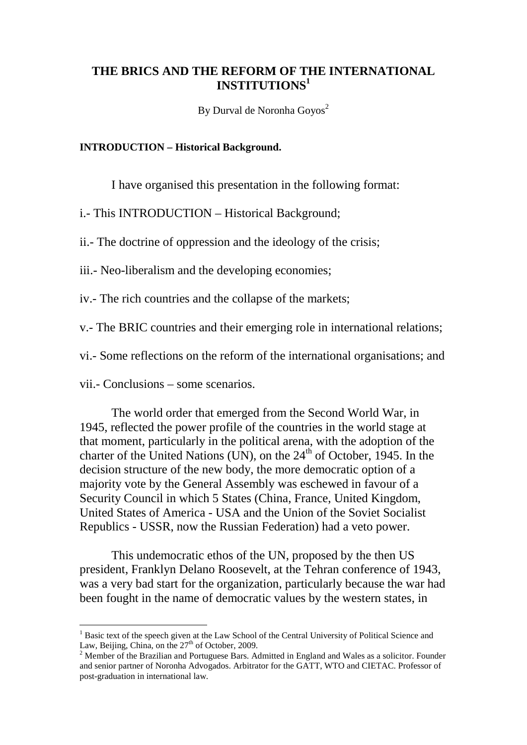# **THE BRICS AND THE REFORM OF THE INTERNATIONAL INSTITUTIONS1**

By Durval de Noronha Goyos<sup>2</sup>

#### **INTRODUCTION – Historical Background.**

I have organised this presentation in the following format:

i.- This INTRODUCTION – Historical Background;

ii.- The doctrine of oppression and the ideology of the crisis;

iii.- Neo-liberalism and the developing economies;

iv.- The rich countries and the collapse of the markets;

v.- The BRIC countries and their emerging role in international relations;

vi.- Some reflections on the reform of the international organisations; and

vii.- Conclusions – some scenarios.

The world order that emerged from the Second World War, in 1945, reflected the power profile of the countries in the world stage at that moment, particularly in the political arena, with the adoption of the charter of the United Nations (UN), on the  $24<sup>th</sup>$  of October, 1945. In the decision structure of the new body, the more democratic option of a majority vote by the General Assembly was eschewed in favour of a Security Council in which 5 States (China, France, United Kingdom, United States of America - USA and the Union of the Soviet Socialist Republics - USSR, now the Russian Federation) had a veto power.

This undemocratic ethos of the UN, proposed by the then US president, Franklyn Delano Roosevelt, at the Tehran conference of 1943, was a very bad start for the organization, particularly because the war had been fought in the name of democratic values by the western states, in

<sup>&</sup>lt;sup>1</sup> Basic text of the speech given at the Law School of the Central University of Political Science and Law, Beijing, China, on the  $27<sup>th</sup>$  of October, 2009.

 $2$  Member of the Brazilian and Portuguese Bars. Admitted in England and Wales as a solicitor. Founder and senior partner of Noronha Advogados. Arbitrator for the GATT, WTO and CIETAC. Professor of post-graduation in international law.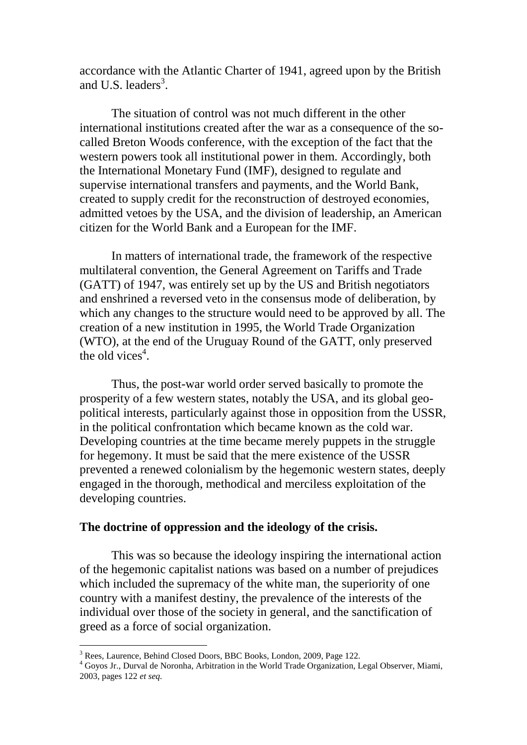accordance with the Atlantic Charter of 1941, agreed upon by the British and U.S. leaders<sup>3</sup>.

The situation of control was not much different in the other international institutions created after the war as a consequence of the socalled Breton Woods conference, with the exception of the fact that the western powers took all institutional power in them. Accordingly, both the International Monetary Fund (IMF), designed to regulate and supervise international transfers and payments, and the World Bank, created to supply credit for the reconstruction of destroyed economies, admitted vetoes by the USA, and the division of leadership, an American citizen for the World Bank and a European for the IMF.

In matters of international trade, the framework of the respective multilateral convention, the General Agreement on Tariffs and Trade (GATT) of 1947, was entirely set up by the US and British negotiators and enshrined a reversed veto in the consensus mode of deliberation, by which any changes to the structure would need to be approved by all. The creation of a new institution in 1995, the World Trade Organization (WTO), at the end of the Uruguay Round of the GATT, only preserved the old vices<sup>4</sup>.

Thus, the post-war world order served basically to promote the prosperity of a few western states, notably the USA, and its global geopolitical interests, particularly against those in opposition from the USSR, in the political confrontation which became known as the cold war. Developing countries at the time became merely puppets in the struggle for hegemony. It must be said that the mere existence of the USSR prevented a renewed colonialism by the hegemonic western states, deeply engaged in the thorough, methodical and merciless exploitation of the developing countries.

#### **The doctrine of oppression and the ideology of the crisis.**

This was so because the ideology inspiring the international action of the hegemonic capitalist nations was based on a number of prejudices which included the supremacy of the white man, the superiority of one country with a manifest destiny, the prevalence of the interests of the individual over those of the society in general, and the sanctification of greed as a force of social organization.

<sup>&</sup>lt;sup>3</sup> Rees, Laurence, Behind Closed Doors, BBC Books, London, 2009, Page 122.

<sup>4</sup> Goyos Jr., Durval de Noronha, Arbitration in the World Trade Organization, Legal Observer, Miami, 2003, pages 122 *et seq.*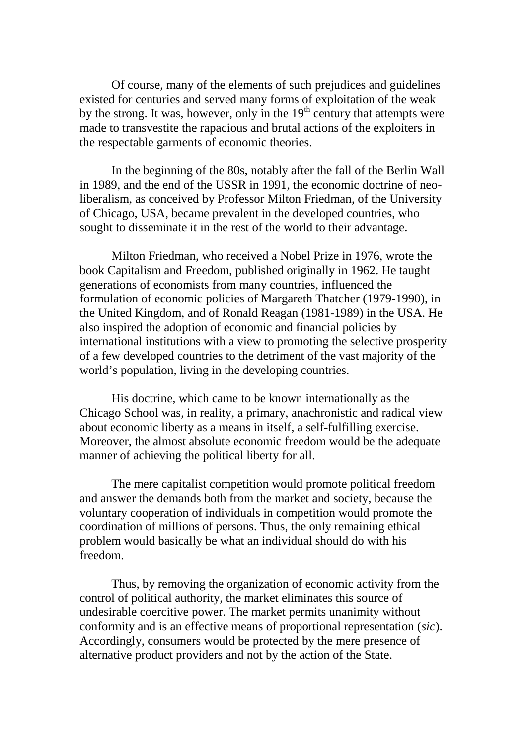Of course, many of the elements of such prejudices and guidelines existed for centuries and served many forms of exploitation of the weak by the strong. It was, however, only in the  $19<sup>th</sup>$  century that attempts were made to transvestite the rapacious and brutal actions of the exploiters in the respectable garments of economic theories.

In the beginning of the 80s, notably after the fall of the Berlin Wall in 1989, and the end of the USSR in 1991, the economic doctrine of neoliberalism, as conceived by Professor Milton Friedman, of the University of Chicago, USA, became prevalent in the developed countries, who sought to disseminate it in the rest of the world to their advantage.

Milton Friedman, who received a Nobel Prize in 1976, wrote the book Capitalism and Freedom, published originally in 1962. He taught generations of economists from many countries, influenced the formulation of economic policies of Margareth Thatcher (1979-1990), in the United Kingdom, and of Ronald Reagan (1981-1989) in the USA. He also inspired the adoption of economic and financial policies by international institutions with a view to promoting the selective prosperity of a few developed countries to the detriment of the vast majority of the world's population, living in the developing countries.

His doctrine, which came to be known internationally as the Chicago School was, in reality, a primary, anachronistic and radical view about economic liberty as a means in itself, a self-fulfilling exercise. Moreover, the almost absolute economic freedom would be the adequate manner of achieving the political liberty for all.

The mere capitalist competition would promote political freedom and answer the demands both from the market and society, because the voluntary cooperation of individuals in competition would promote the coordination of millions of persons. Thus, the only remaining ethical problem would basically be what an individual should do with his freedom.

Thus, by removing the organization of economic activity from the control of political authority, the market eliminates this source of undesirable coercitive power. The market permits unanimity without conformity and is an effective means of proportional representation (*sic*). Accordingly, consumers would be protected by the mere presence of alternative product providers and not by the action of the State.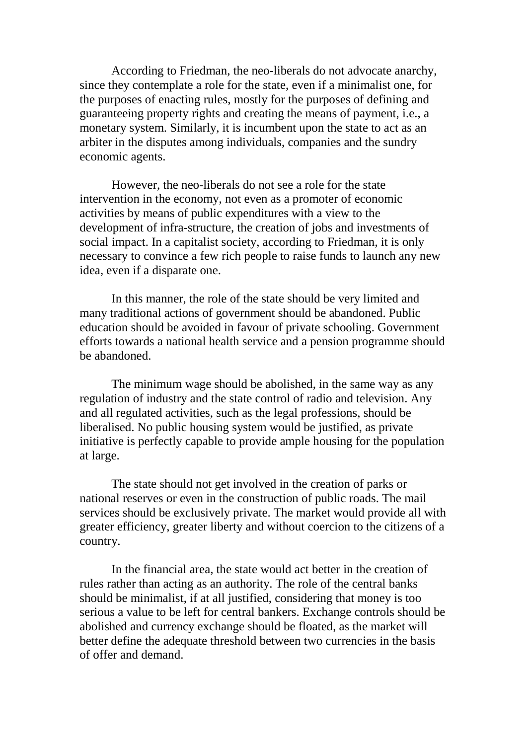According to Friedman, the neo-liberals do not advocate anarchy, since they contemplate a role for the state, even if a minimalist one, for the purposes of enacting rules, mostly for the purposes of defining and guaranteeing property rights and creating the means of payment, i.e., a monetary system. Similarly, it is incumbent upon the state to act as an arbiter in the disputes among individuals, companies and the sundry economic agents.

However, the neo-liberals do not see a role for the state intervention in the economy, not even as a promoter of economic activities by means of public expenditures with a view to the development of infra-structure, the creation of jobs and investments of social impact. In a capitalist society, according to Friedman, it is only necessary to convince a few rich people to raise funds to launch any new idea, even if a disparate one.

In this manner, the role of the state should be very limited and many traditional actions of government should be abandoned. Public education should be avoided in favour of private schooling. Government efforts towards a national health service and a pension programme should be abandoned.

The minimum wage should be abolished, in the same way as any regulation of industry and the state control of radio and television. Any and all regulated activities, such as the legal professions, should be liberalised. No public housing system would be justified, as private initiative is perfectly capable to provide ample housing for the population at large.

The state should not get involved in the creation of parks or national reserves or even in the construction of public roads. The mail services should be exclusively private. The market would provide all with greater efficiency, greater liberty and without coercion to the citizens of a country.

In the financial area, the state would act better in the creation of rules rather than acting as an authority. The role of the central banks should be minimalist, if at all justified, considering that money is too serious a value to be left for central bankers. Exchange controls should be abolished and currency exchange should be floated, as the market will better define the adequate threshold between two currencies in the basis of offer and demand.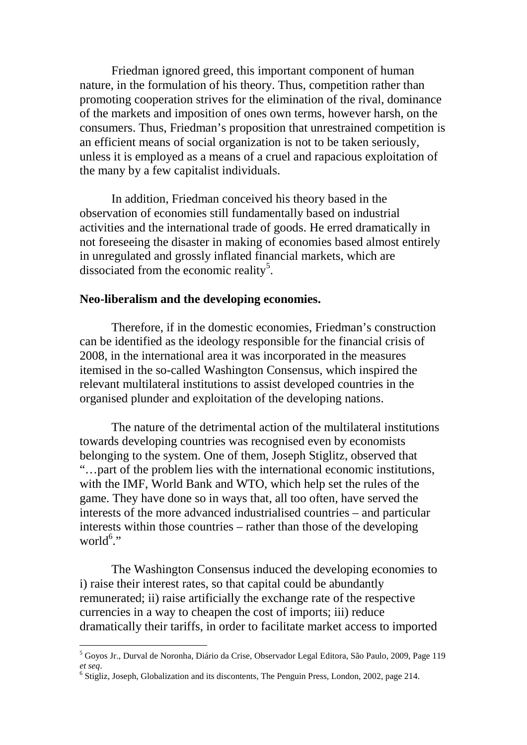Friedman ignored greed, this important component of human nature, in the formulation of his theory. Thus, competition rather than promoting cooperation strives for the elimination of the rival, dominance of the markets and imposition of ones own terms, however harsh, on the consumers. Thus, Friedman's proposition that unrestrained competition is an efficient means of social organization is not to be taken seriously, unless it is employed as a means of a cruel and rapacious exploitation of the many by a few capitalist individuals.

In addition, Friedman conceived his theory based in the observation of economies still fundamentally based on industrial activities and the international trade of goods. He erred dramatically in not foreseeing the disaster in making of economies based almost entirely in unregulated and grossly inflated financial markets, which are dissociated from the economic reality<sup>5</sup>.

### **Neo-liberalism and the developing economies.**

Therefore, if in the domestic economies, Friedman's construction can be identified as the ideology responsible for the financial crisis of 2008, in the international area it was incorporated in the measures itemised in the so-called Washington Consensus, which inspired the relevant multilateral institutions to assist developed countries in the organised plunder and exploitation of the developing nations.

The nature of the detrimental action of the multilateral institutions towards developing countries was recognised even by economists belonging to the system. One of them, Joseph Stiglitz, observed that "…part of the problem lies with the international economic institutions, with the IMF, World Bank and WTO, which help set the rules of the game. They have done so in ways that, all too often, have served the interests of the more advanced industrialised countries – and particular interests within those countries – rather than those of the developing world<sup>6</sup>."

The Washington Consensus induced the developing economies to i) raise their interest rates, so that capital could be abundantly remunerated; ii) raise artificially the exchange rate of the respective currencies in a way to cheapen the cost of imports; iii) reduce dramatically their tariffs, in order to facilitate market access to imported

 <sup>5</sup> Goyos Jr., Durval de Noronha, Diário da Crise, Observador Legal Editora, São Paulo, 2009, Page 119 *et seq*.<br><sup>6</sup> Stigliz, Joseph, Globalization and its discontents, The Penguin Press, London, 2002, page 214.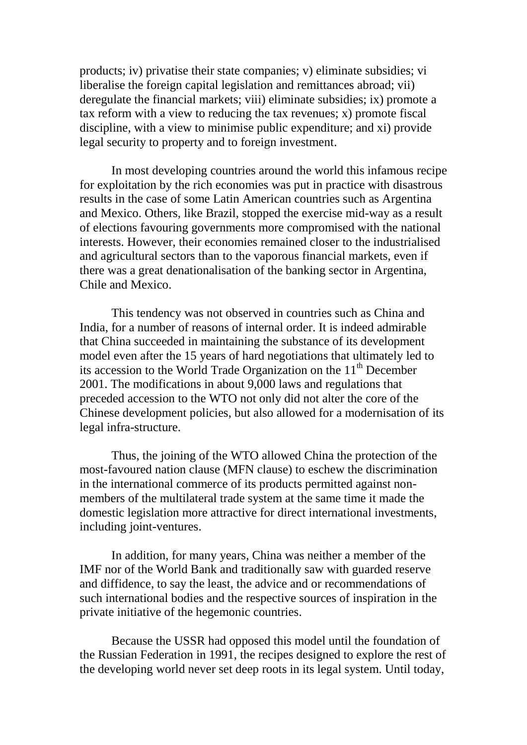products; iv) privatise their state companies; v) eliminate subsidies; vi liberalise the foreign capital legislation and remittances abroad; vii) deregulate the financial markets; viii) eliminate subsidies; ix) promote a tax reform with a view to reducing the tax revenues; x) promote fiscal discipline, with a view to minimise public expenditure; and xi) provide legal security to property and to foreign investment.

In most developing countries around the world this infamous recipe for exploitation by the rich economies was put in practice with disastrous results in the case of some Latin American countries such as Argentina and Mexico. Others, like Brazil, stopped the exercise mid-way as a result of elections favouring governments more compromised with the national interests. However, their economies remained closer to the industrialised and agricultural sectors than to the vaporous financial markets, even if there was a great denationalisation of the banking sector in Argentina, Chile and Mexico.

This tendency was not observed in countries such as China and India, for a number of reasons of internal order. It is indeed admirable that China succeeded in maintaining the substance of its development model even after the 15 years of hard negotiations that ultimately led to its accession to the World Trade Organization on the  $11<sup>th</sup>$  December 2001. The modifications in about 9,000 laws and regulations that preceded accession to the WTO not only did not alter the core of the Chinese development policies, but also allowed for a modernisation of its legal infra-structure.

Thus, the joining of the WTO allowed China the protection of the most-favoured nation clause (MFN clause) to eschew the discrimination in the international commerce of its products permitted against nonmembers of the multilateral trade system at the same time it made the domestic legislation more attractive for direct international investments, including joint-ventures.

In addition, for many years, China was neither a member of the IMF nor of the World Bank and traditionally saw with guarded reserve and diffidence, to say the least, the advice and or recommendations of such international bodies and the respective sources of inspiration in the private initiative of the hegemonic countries.

Because the USSR had opposed this model until the foundation of the Russian Federation in 1991, the recipes designed to explore the rest of the developing world never set deep roots in its legal system. Until today,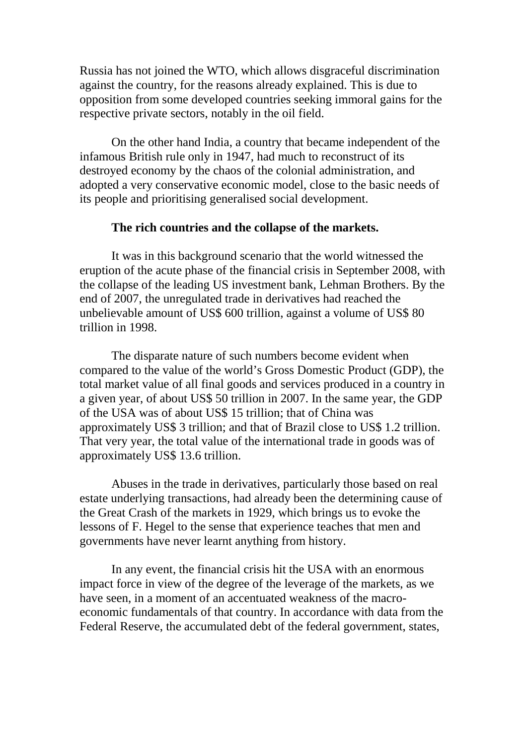Russia has not joined the WTO, which allows disgraceful discrimination against the country, for the reasons already explained. This is due to opposition from some developed countries seeking immoral gains for the respective private sectors, notably in the oil field.

On the other hand India, a country that became independent of the infamous British rule only in 1947, had much to reconstruct of its destroyed economy by the chaos of the colonial administration, and adopted a very conservative economic model, close to the basic needs of its people and prioritising generalised social development.

### **The rich countries and the collapse of the markets.**

It was in this background scenario that the world witnessed the eruption of the acute phase of the financial crisis in September 2008, with the collapse of the leading US investment bank, Lehman Brothers. By the end of 2007, the unregulated trade in derivatives had reached the unbelievable amount of US\$ 600 trillion, against a volume of US\$ 80 trillion in 1998.

The disparate nature of such numbers become evident when compared to the value of the world's Gross Domestic Product (GDP), the total market value of all final goods and services produced in a country in a given year, of about US\$ 50 trillion in 2007. In the same year, the GDP of the USA was of about US\$ 15 trillion; that of China was approximately US\$ 3 trillion; and that of Brazil close to US\$ 1.2 trillion. That very year, the total value of the international trade in goods was of approximately US\$ 13.6 trillion.

Abuses in the trade in derivatives, particularly those based on real estate underlying transactions, had already been the determining cause of the Great Crash of the markets in 1929, which brings us to evoke the lessons of F. Hegel to the sense that experience teaches that men and governments have never learnt anything from history.

In any event, the financial crisis hit the USA with an enormous impact force in view of the degree of the leverage of the markets, as we have seen, in a moment of an accentuated weakness of the macroeconomic fundamentals of that country. In accordance with data from the Federal Reserve, the accumulated debt of the federal government, states,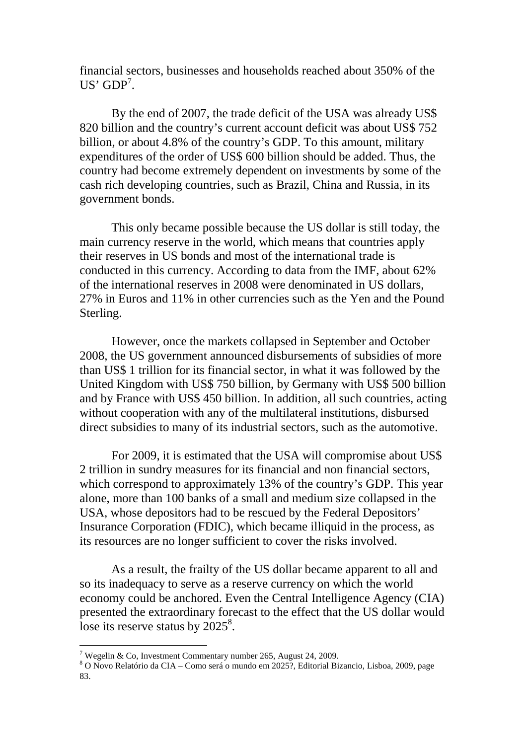financial sectors, businesses and households reached about 350% of the  $US'$  GDP<sup>7</sup>.

By the end of 2007, the trade deficit of the USA was already US\$ 820 billion and the country's current account deficit was about US\$ 752 billion, or about 4.8% of the country's GDP. To this amount, military expenditures of the order of US\$ 600 billion should be added. Thus, the country had become extremely dependent on investments by some of the cash rich developing countries, such as Brazil, China and Russia, in its government bonds.

This only became possible because the US dollar is still today, the main currency reserve in the world, which means that countries apply their reserves in US bonds and most of the international trade is conducted in this currency. According to data from the IMF, about 62% of the international reserves in 2008 were denominated in US dollars, 27% in Euros and 11% in other currencies such as the Yen and the Pound Sterling.

However, once the markets collapsed in September and October 2008, the US government announced disbursements of subsidies of more than US\$ 1 trillion for its financial sector, in what it was followed by the United Kingdom with US\$ 750 billion, by Germany with US\$ 500 billion and by France with US\$ 450 billion. In addition, all such countries, acting without cooperation with any of the multilateral institutions, disbursed direct subsidies to many of its industrial sectors, such as the automotive.

For 2009, it is estimated that the USA will compromise about US\$ 2 trillion in sundry measures for its financial and non financial sectors, which correspond to approximately 13% of the country's GDP. This year alone, more than 100 banks of a small and medium size collapsed in the USA, whose depositors had to be rescued by the Federal Depositors' Insurance Corporation (FDIC), which became illiquid in the process, as its resources are no longer sufficient to cover the risks involved.

As a result, the frailty of the US dollar became apparent to all and so its inadequacy to serve as a reserve currency on which the world economy could be anchored. Even the Central Intelligence Agency (CIA) presented the extraordinary forecast to the effect that the US dollar would lose its reserve status by  $2025^8$ .

<sup>&</sup>lt;sup>7</sup> Wegelin & Co, Investment Commentary number 265, August 24, 2009.<br><sup>8</sup> O Novo Relatório da CIA – Como será o mundo em 2025?, Editorial Bizancio, Lisboa, 2009, page 83.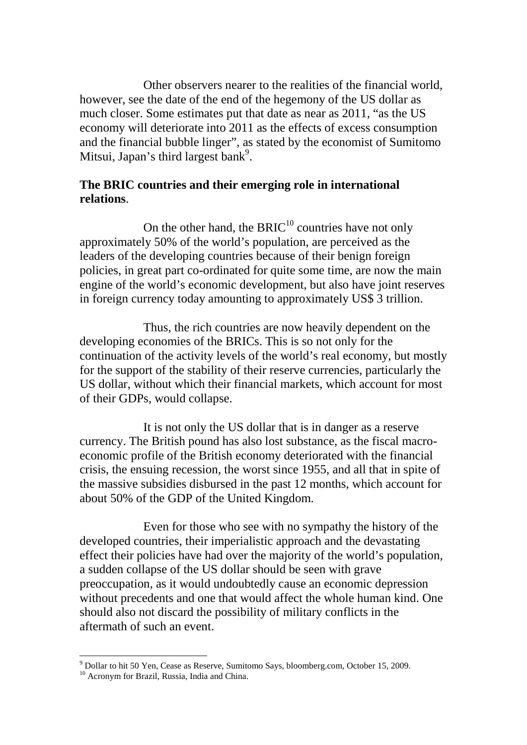Other observers nearer to the realities of the financial world, however, see the date of the end of the hegemony of the US dollar as much closer. Some estimates put that date as near as 2011, "as the US economy will deteriorate into 2011 as the effects of excess consumption and the financial bubble linger", as stated by the economist of Sumitomo Mitsui, Japan's third largest bank<sup>9</sup>.

# **The BRIC countries and their emerging role in international relations**.

On the other hand, the  $BRIC^{10}$  countries have not only approximately 50% of the world's population, are perceived as the leaders of the developing countries because of their benign foreign policies, in great part co-ordinated for quite some time, are now the main engine of the world's economic development, but also have joint reserves in foreign currency today amounting to approximately US\$ 3 trillion.

Thus, the rich countries are now heavily dependent on the developing economies of the BRICs. This is so not only for the continuation of the activity levels of the world's real economy, but mostly for the support of the stability of their reserve currencies, particularly the US dollar, without which their financial markets, which account for most of their GDPs, would collapse.

It is not only the US dollar that is in danger as a reserve currency. The British pound has also lost substance, as the fiscal macroeconomic profile of the British economy deteriorated with the financial crisis, the ensuing recession, the worst since 1955, and all that in spite of the massive subsidies disbursed in the past 12 months, which account for about 50% of the GDP of the United Kingdom.

Even for those who see with no sympathy the history of the developed countries, their imperialistic approach and the devastating effect their policies have had over the majority of the world's population, a sudden collapse of the US dollar should be seen with grave preoccupation, as it would undoubtedly cause an economic depression without precedents and one that would affect the whole human kind. One should also not discard the possibility of military conflicts in the aftermath of such an event.

 $9$  Dollar to hit 50 Yen, Cease as Reserve, Sumitomo Says, bloomberg.com, October 15, 2009.

<sup>&</sup>lt;sup>10</sup> Acronym for Brazil, Russia, India and China.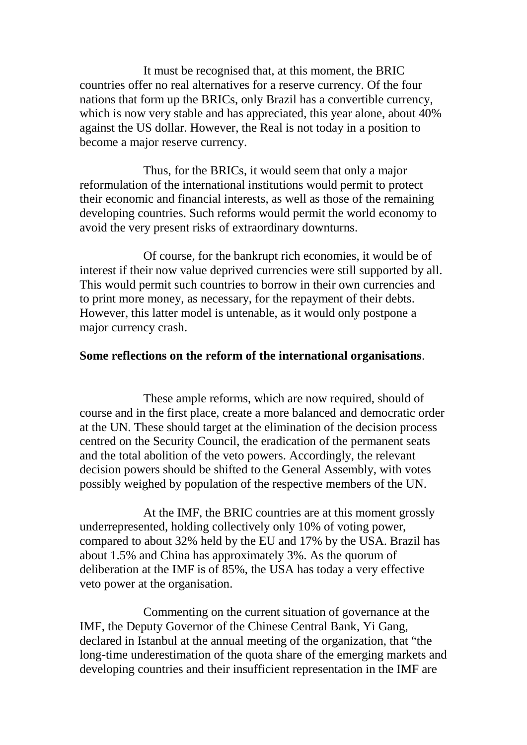It must be recognised that, at this moment, the BRIC countries offer no real alternatives for a reserve currency. Of the four nations that form up the BRICs, only Brazil has a convertible currency, which is now very stable and has appreciated, this year alone, about 40% against the US dollar. However, the Real is not today in a position to become a major reserve currency.

Thus, for the BRICs, it would seem that only a major reformulation of the international institutions would permit to protect their economic and financial interests, as well as those of the remaining developing countries. Such reforms would permit the world economy to avoid the very present risks of extraordinary downturns.

Of course, for the bankrupt rich economies, it would be of interest if their now value deprived currencies were still supported by all. This would permit such countries to borrow in their own currencies and to print more money, as necessary, for the repayment of their debts. However, this latter model is untenable, as it would only postpone a major currency crash.

## **Some reflections on the reform of the international organisations**.

These ample reforms, which are now required, should of course and in the first place, create a more balanced and democratic order at the UN. These should target at the elimination of the decision process centred on the Security Council, the eradication of the permanent seats and the total abolition of the veto powers. Accordingly, the relevant decision powers should be shifted to the General Assembly, with votes possibly weighed by population of the respective members of the UN.

At the IMF, the BRIC countries are at this moment grossly underrepresented, holding collectively only 10% of voting power, compared to about 32% held by the EU and 17% by the USA. Brazil has about 1.5% and China has approximately 3%. As the quorum of deliberation at the IMF is of 85%, the USA has today a very effective veto power at the organisation.

Commenting on the current situation of governance at the IMF, the Deputy Governor of the Chinese Central Bank, Yi Gang, declared in Istanbul at the annual meeting of the organization, that "the long-time underestimation of the quota share of the emerging markets and developing countries and their insufficient representation in the IMF are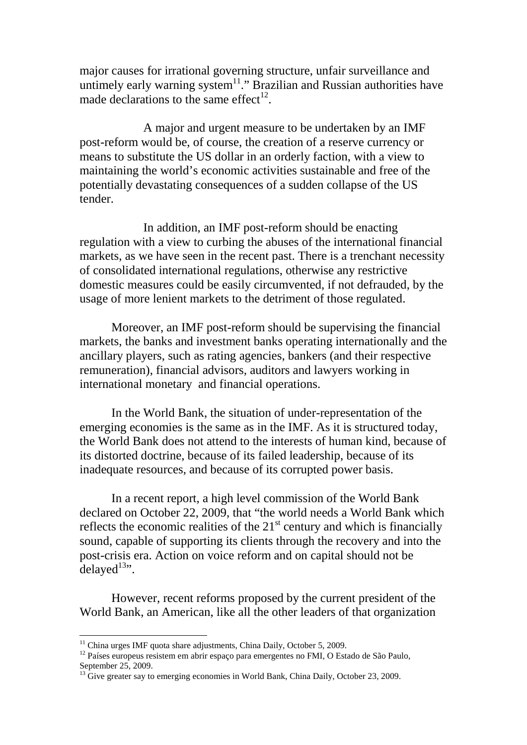major causes for irrational governing structure, unfair surveillance and untimely early warning system<sup>11</sup>." Brazilian and Russian authorities have made declarations to the same effect<sup>12</sup>.

A major and urgent measure to be undertaken by an IMF post-reform would be, of course, the creation of a reserve currency or means to substitute the US dollar in an orderly faction, with a view to maintaining the world's economic activities sustainable and free of the potentially devastating consequences of a sudden collapse of the US tender.

In addition, an IMF post-reform should be enacting regulation with a view to curbing the abuses of the international financial markets, as we have seen in the recent past. There is a trenchant necessity of consolidated international regulations, otherwise any restrictive domestic measures could be easily circumvented, if not defrauded, by the usage of more lenient markets to the detriment of those regulated.

Moreover, an IMF post-reform should be supervising the financial markets, the banks and investment banks operating internationally and the ancillary players, such as rating agencies, bankers (and their respective remuneration), financial advisors, auditors and lawyers working in international monetary and financial operations.

In the World Bank, the situation of under-representation of the emerging economies is the same as in the IMF. As it is structured today, the World Bank does not attend to the interests of human kind, because of its distorted doctrine, because of its failed leadership, because of its inadequate resources, and because of its corrupted power basis.

In a recent report, a high level commission of the World Bank declared on October 22, 2009, that "the world needs a World Bank which reflects the economic realities of the  $21<sup>st</sup>$  century and which is financially sound, capable of supporting its clients through the recovery and into the post-crisis era. Action on voice reform and on capital should not be  $delayed<sup>13</sup>$ .

However, recent reforms proposed by the current president of the World Bank, an American, like all the other leaders of that organization

<sup>&</sup>lt;sup>11</sup> China urges IMF quota share adjustments, China Daily, October 5, 2009.<br><sup>12</sup> Países europeus resistem em abrir espaço para emergentes no FMI, O Estado de São Paulo, September 25, 2009.

<sup>&</sup>lt;sup>13</sup> Give greater say to emerging economies in World Bank, China Daily, October 23, 2009.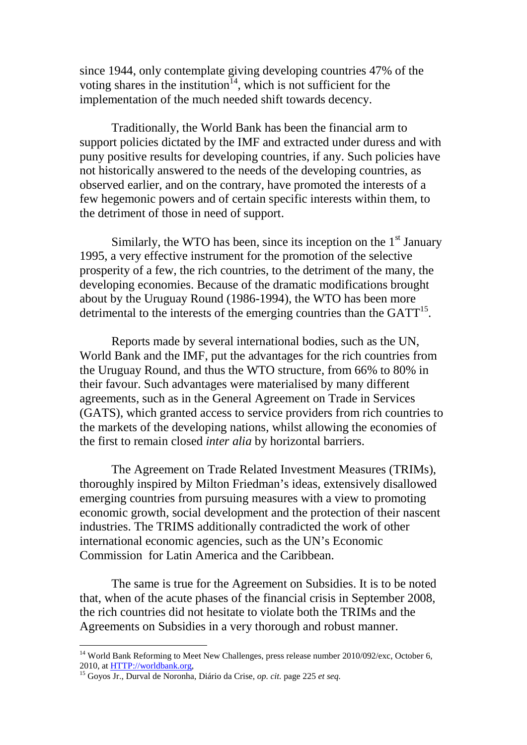since 1944, only contemplate giving developing countries 47% of the voting shares in the institution<sup>14</sup>, which is not sufficient for the implementation of the much needed shift towards decency.

Traditionally, the World Bank has been the financial arm to support policies dictated by the IMF and extracted under duress and with puny positive results for developing countries, if any. Such policies have not historically answered to the needs of the developing countries, as observed earlier, and on the contrary, have promoted the interests of a few hegemonic powers and of certain specific interests within them, to the detriment of those in need of support.

Similarly, the WTO has been, since its inception on the  $1<sup>st</sup>$  January 1995, a very effective instrument for the promotion of the selective prosperity of a few, the rich countries, to the detriment of the many, the developing economies. Because of the dramatic modifications brought about by the Uruguay Round (1986-1994), the WTO has been more detrimental to the interests of the emerging countries than the  $GATT<sup>15</sup>$ .

Reports made by several international bodies, such as the UN, World Bank and the IMF, put the advantages for the rich countries from the Uruguay Round, and thus the WTO structure, from 66% to 80% in their favour. Such advantages were materialised by many different agreements, such as in the General Agreement on Trade in Services (GATS), which granted access to service providers from rich countries to the markets of the developing nations, whilst allowing the economies of the first to remain closed *inter alia* by horizontal barriers.

The Agreement on Trade Related Investment Measures (TRIMs), thoroughly inspired by Milton Friedman's ideas, extensively disallowed emerging countries from pursuing measures with a view to promoting economic growth, social development and the protection of their nascent industries. The TRIMS additionally contradicted the work of other international economic agencies, such as the UN's Economic Commission for Latin America and the Caribbean.

The same is true for the Agreement on Subsidies. It is to be noted that, when of the acute phases of the financial crisis in September 2008, the rich countries did not hesitate to violate both the TRIMs and the Agreements on Subsidies in a very thorough and robust manner.

<sup>&</sup>lt;sup>14</sup> World Bank Reforming to Meet New Challenges, press release number 2010/092/exc, October 6, 2010, at  $\frac{HTTP://worldbank.org}{HTTP/2}$ 

<sup>&</sup>lt;sup>15</sup> Goyos Jr., Durval de Noronha, Diário da Crise, *op. cit.* page 225 *et seq.*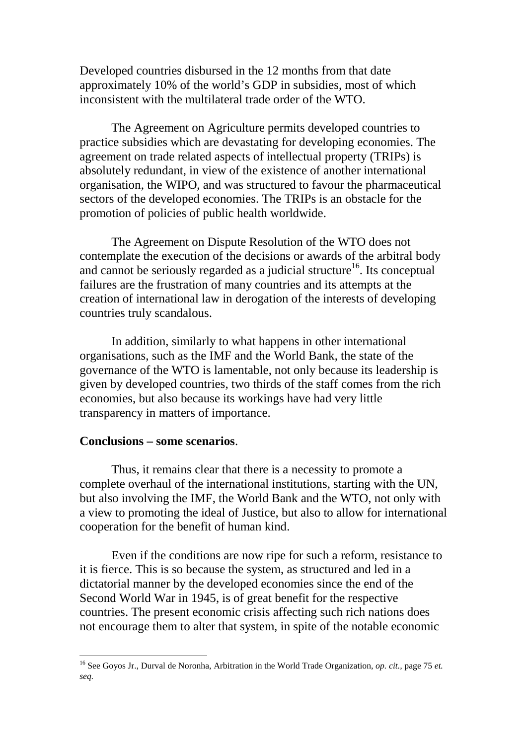Developed countries disbursed in the 12 months from that date approximately 10% of the world's GDP in subsidies, most of which inconsistent with the multilateral trade order of the WTO.

The Agreement on Agriculture permits developed countries to practice subsidies which are devastating for developing economies. The agreement on trade related aspects of intellectual property (TRIPs) is absolutely redundant, in view of the existence of another international organisation, the WIPO, and was structured to favour the pharmaceutical sectors of the developed economies. The TRIPs is an obstacle for the promotion of policies of public health worldwide.

The Agreement on Dispute Resolution of the WTO does not contemplate the execution of the decisions or awards of the arbitral body and cannot be seriously regarded as a judicial structure<sup>16</sup>. Its conceptual failures are the frustration of many countries and its attempts at the creation of international law in derogation of the interests of developing countries truly scandalous.

In addition, similarly to what happens in other international organisations, such as the IMF and the World Bank, the state of the governance of the WTO is lamentable, not only because its leadership is given by developed countries, two thirds of the staff comes from the rich economies, but also because its workings have had very little transparency in matters of importance.

## **Conclusions – some scenarios**.

Thus, it remains clear that there is a necessity to promote a complete overhaul of the international institutions, starting with the UN, but also involving the IMF, the World Bank and the WTO, not only with a view to promoting the ideal of Justice, but also to allow for international cooperation for the benefit of human kind.

Even if the conditions are now ripe for such a reform, resistance to it is fierce. This is so because the system, as structured and led in a dictatorial manner by the developed economies since the end of the Second World War in 1945, is of great benefit for the respective countries. The present economic crisis affecting such rich nations does not encourage them to alter that system, in spite of the notable economic

 <sup>16</sup> See Goyos Jr., Durval de Noronha, Arbitration in the World Trade Organization, *op. cit.,* page 75 *et. seq.*